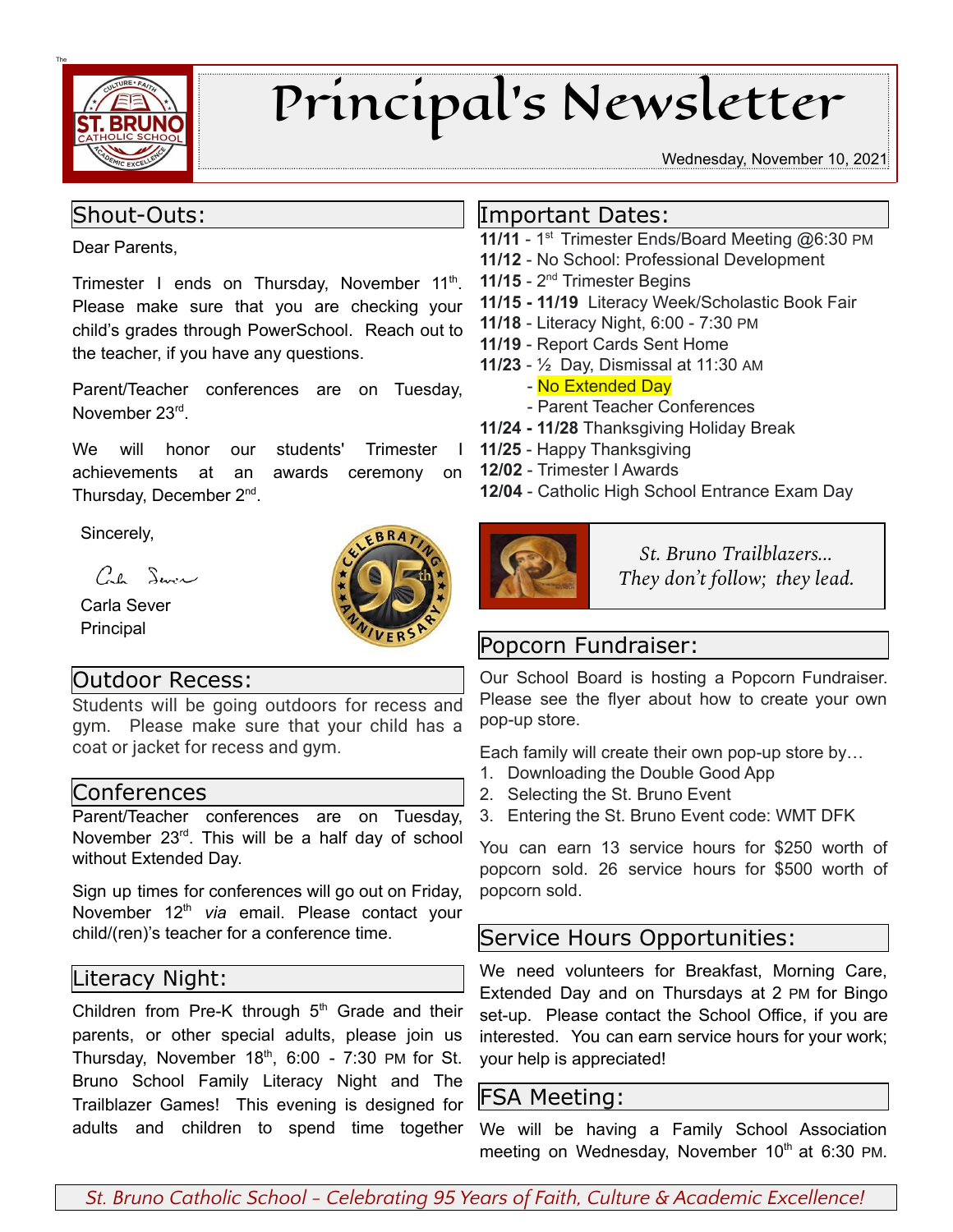

# Principal's Newsletter

#### Wednesday, November 10, 2021

#### Shout-Outs:

Dear Parents,

Trimester I ends on Thursday, November 11<sup>th</sup>. Please make sure that you are checking your child's grades through PowerSchool. Reach out to the teacher, if you have any questions.

Parent/Teacher conferences are on Tuesday, November 23rd.

We will honor our students' Trimester I achievements at an awards ceremony on Thursday, December 2<sup>nd</sup>.

**BR** 

Sincerely,

 $Ce^{\int \frac{1}{2}x^2}$ 

Carla Sever Principal

## Outdoor Recess:

Students will be going outdoors for recess and gym. Please make sure that your child has a coat or jacket for recess and gym.

#### Conferences

Parent/Teacher conferences are on Tuesday, November 23<sup>rd</sup>. This will be a half day of school without Extended Day.

Sign up times for conferences will go out on Friday, November 12<sup>th</sup> via email. Please contact your child/(ren)'s teacher for a conference time.

#### Literacy Night:

Children from Pre-K through  $5<sup>th</sup>$  Grade and their parents, or other special adults, please join us Thursday, November  $18<sup>th</sup>$ , 6:00 - 7:30 PM for St. Bruno School Family Literacy Night and The Trailblazer Games! This evening is designed for adults and children to spend time together

### Important Dates:

- 11/11 1<sup>st</sup> Trimester Ends/Board Meeting @6:30 PM
- **11/12** No School: Professional Development
- 11/15 2<sup>nd</sup> Trimester Begins
- **11/15 - 11/19** Literacy Week/Scholastic Book Fair
- **11/18** Literacy Night, 6:00 7:30 PM
- **11/19** Report Cards Sent Home
- **11/23** ½ Day, Dismissal at 11:30 AM
	- No Extended Day
	- Parent Teacher Conferences
- **11/24 - 11/28** Thanksgiving Holiday Break
- **11/25** Happy Thanksgiving
- **12/02** Trimester I Awards
- **12/04** Catholic High School Entrance Exam Day



*St. Bruno Trailblazers... They don't follow; they lead.*

## Popcorn Fundraiser:

Our School Board is hosting a Popcorn Fundraiser. Please see the flyer about how to create your own pop-up store.

Each family will create their own pop-up store by…

- 1. Downloading the Double Good App
- 2. Selecting the St. Bruno Event
- 3. Entering the St. Bruno Event code: WMT DFK

You can earn 13 service hours for \$250 worth of popcorn sold. 26 service hours for \$500 worth of popcorn sold.

## Service Hours Opportunities:

We need volunteers for Breakfast, Morning Care, Extended Day and on Thursdays at 2 PM for Bingo set-up. Please contact the School Office, if you are interested. You can earn service hours for your work; your help is appreciated!

## FSA Meeting:

We will be having a Family School Association meeting on Wednesday, November 10<sup>th</sup> at 6:30 PM.

*St. Bruno Catholic School - Celebrating 95 Years of Faith, Culture & Academic Excellence!*